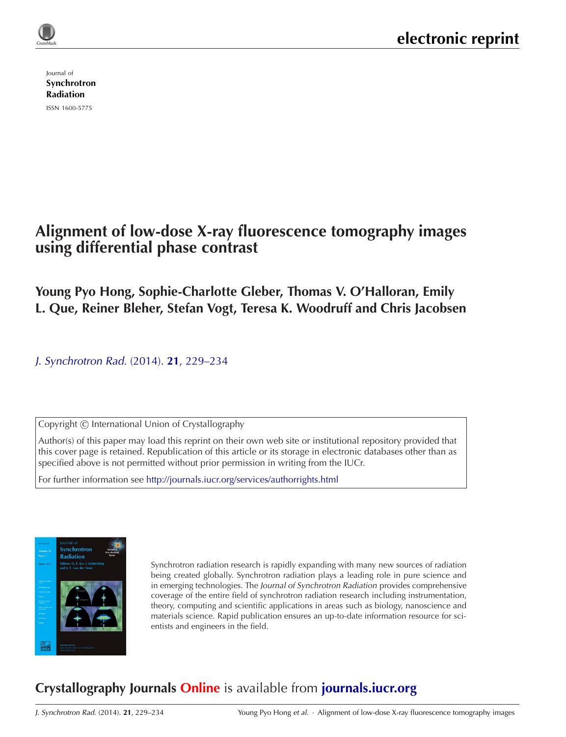Journal of [Synchrotron](http://journals.iucr.org/s/) Radiation

ISSN 1600-5775

# **Alignment of low-dose X-ray fluorescence tomography images using differential phase contrast**

# **Young Pyo Hong, Sophie-Charlotte Gleber, Thomas V. O'Halloran, Emily L. Que, Reiner Bleher, Stefan Vogt, Teresa K. Woodruff and Chris Jacobsen**

J. [Synchrotron](http://dx.doi.org/10.1107/S1600577513029512) Rad. (2014). **21**, 229–234

Copyright © International Union of Crystallography

Author(s) of this paper may load this reprint on their own web site or institutional repository provided that this cover page is retained. Republication of this article or its storage in electronic databases other than as specified above is not permitted without prior permission in writing from the IUCr.

For further information see <http://journals.iucr.org/services/authorrights.html>



Synchrotron radiation research is rapidly expanding with many new sources of radiation being created globally. Synchrotron radiation plays a leading role in pure science and in emerging technologies. The Journal of Synchrotron Radiation provides comprehensive coverage of the entire field of synchrotron radiation research including instrumentation, theory, computing and scientific applications in areas such as biology, nanoscience and materials science. Rapid publication ensures an up-to-date information resource for scientists and engineers in the field.

# **Crystallography Journals Online** is available from **[journals.iucr.org](http://journals.iucr.org)**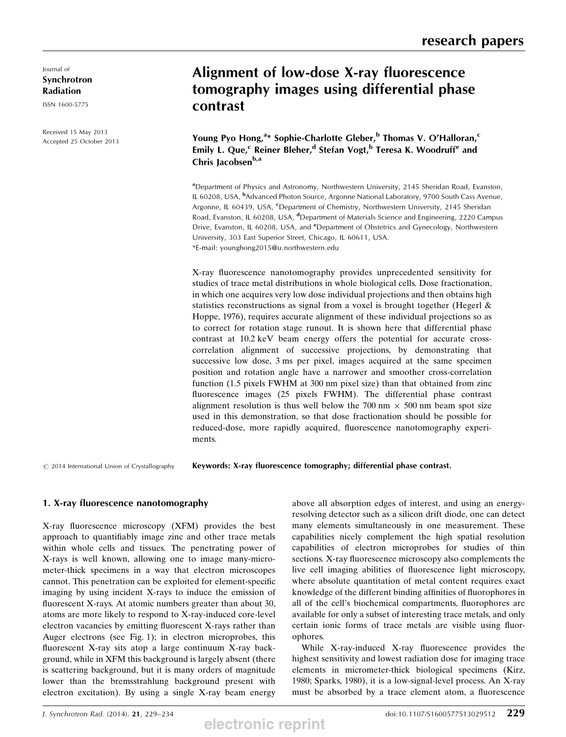Journal of Synchrotron Radiation

ISSN 1600-5775

Received 15 May 2013 Accepted 25 October 2013

# Alignment of low-dose X-ray fluorescence tomography images using differential phase contrast

Young Pyo Hong,<sup>a\*</sup> Sophie-Charlotte Gleber,<sup>b</sup> Thomas V. O'Halloran,<sup>c</sup> Emily L. Que,<sup>c</sup> Reiner Bleher,<sup>d</sup> Stefan Vogt,<sup>b</sup> Teresa K. Woodruff<sup>e</sup> and Chris Jacobsen<sup>b,a</sup>

<sup>a</sup>Department of Physics and Astronomy, Northwestern University, 2145 Sheridan Road, Evanston, IL 60208, USA, <sup>b</sup>Advanced Photon Source, Argonne National Laboratory, 9700 South Cass Avenue, Argonne, IL 60439, USA, <sup>c</sup>Department of Chemistry, Northwestern University, 2145 Sheridan Road, Evanston, IL 60208, USA, <sup>d</sup>Department of Materials Science and Engineering, 2220 Campus Drive, Evanston, IL 60208, USA, and <sup>e</sup>Department of Obstetrics and Gynecology, Northwestern University, 303 East Superior Street, Chicago, IL 60611, USA. \*E-mail: younghong2015@u.northwestern.edu

X-ray fluorescence nanotomography provides unprecedented sensitivity for studies of trace metal distributions in whole biological cells. Dose fractionation, in which one acquires very low dose individual projections and then obtains high statistics reconstructions as signal from a voxel is brought together (Hegerl  $\&$ Hoppe, 1976), requires accurate alignment of these individual projections so as to correct for rotation stage runout. It is shown here that differential phase contrast at 10.2 keV beam energy offers the potential for accurate crosscorrelation alignment of successive projections, by demonstrating that successive low dose, 3 ms per pixel, images acquired at the same specimen position and rotation angle have a narrower and smoother cross-correlation function (1.5 pixels FWHM at 300 nm pixel size) than that obtained from zinc fluorescence images (25 pixels FWHM). The differential phase contrast alignment resolution is thus well below the 700 nm  $\times$  500 nm beam spot size used in this demonstration, so that dose fractionation should be possible for reduced-dose, more rapidly acquired, fluorescence nanotomography experiments.

 $©$  2014 International Union of Crystallography

Keywords: X-ray fluorescence tomography; differential phase contrast.

#### 1. X-ray fluorescence nanotomography

X-ray fluorescence microscopy (XFM) provides the best approach to quantifiably image zinc and other trace metals within whole cells and tissues. The penetrating power of X-rays is well known, allowing one to image many-micrometer-thick specimens in a way that electron microscopes cannot. This penetration can be exploited for element-specific imaging by using incident X-rays to induce the emission of fluorescent X-rays. At atomic numbers greater than about 30, atoms are more likely to respond to X-ray-induced core-level electron vacancies by emitting fluorescent X-rays rather than Auger electrons (see Fig. 1); in electron microprobes, this fluorescent X-ray sits atop a large continuum X-ray background, while in XFM this background is largely absent (there is scattering background, but it is many orders of magnitude lower than the bremsstrahlung background present with electron excitation). By using a single X-ray beam energy

above all absorption edges of interest, and using an energyresolving detector such as a silicon drift diode, one can detect many elements simultaneously in one measurement. These capabilities nicely complement the high spatial resolution capabilities of electron microprobes for studies of thin sections. X-ray fluorescence microscopy also complements the live cell imaging abilities of fluorescence light microscopy, where absolute quantitation of metal content requires exact knowledge of the different binding affinities of fluorophores in all of the cell's biochemical compartments, fluorophores are available for only a subset of interesting trace metals, and only certain ionic forms of trace metals are visible using fluorophores.

While X-ray-induced X-ray fluorescence provides the highest sensitivity and lowest radiation dose for imaging trace elements in micrometer-thick biological specimens (Kirz, 1980; Sparks, 1980), it is a low-signal-level process. An X-ray must be absorbed by a trace element atom, a fluorescence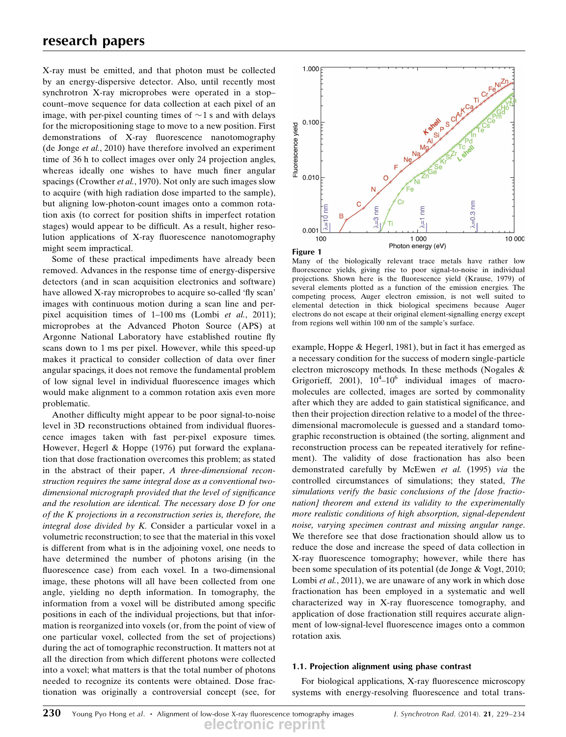X-ray must be emitted, and that photon must be collected by an energy-dispersive detector. Also, until recently most synchrotron X-ray microprobes were operated in a stop– count–move sequence for data collection at each pixel of an image, with per-pixel counting times of  $\sim$  1 s and with delays for the micropositioning stage to move to a new position. First demonstrations of X-ray fluorescence nanotomography (de Jonge et al., 2010) have therefore involved an experiment time of 36 h to collect images over only 24 projection angles, whereas ideally one wishes to have much finer angular spacings (Crowther et al., 1970). Not only are such images slow to acquire (with high radiation dose imparted to the sample), but aligning low-photon-count images onto a common rotation axis (to correct for position shifts in imperfect rotation stages) would appear to be difficult. As a result, higher resolution applications of X-ray fluorescence nanotomography might seem impractical.

Some of these practical impediments have already been removed. Advances in the response time of energy-dispersive detectors (and in scan acquisition electronics and software) have allowed X-ray microprobes to acquire so-called 'fly scan' images with continuous motion during a scan line and perpixel acquisition times of 1–100 ms (Lombi et al., 2011); microprobes at the Advanced Photon Source (APS) at Argonne National Laboratory have established routine fly scans down to 1 ms per pixel. However, while this speed-up makes it practical to consider collection of data over finer angular spacings, it does not remove the fundamental problem of low signal level in individual fluorescence images which would make alignment to a common rotation axis even more problematic.

Another difficulty might appear to be poor signal-to-noise level in 3D reconstructions obtained from individual fluorescence images taken with fast per-pixel exposure times. However, Hegerl & Hoppe (1976) put forward the explanation that dose fractionation overcomes this problem; as stated in the abstract of their paper, A three-dimensional reconstruction requires the same integral dose as a conventional twodimensional micrograph provided that the level of significance and the resolution are identical. The necessary dose D for one of the K projections in a reconstruction series is, therefore, the integral dose divided by K. Consider a particular voxel in a volumetric reconstruction; to see that the material in this voxel is different from what is in the adjoining voxel, one needs to have determined the number of photons arising (in the fluorescence case) from each voxel. In a two-dimensional image, these photons will all have been collected from one angle, yielding no depth information. In tomography, the information from a voxel will be distributed among specific positions in each of the individual projections, but that information is reorganized into voxels (or, from the point of view of one particular voxel, collected from the set of projections) during the act of tomographic reconstruction. It matters not at all the direction from which different photons were collected into a voxel; what matters is that the total number of photons needed to recognize its contents were obtained. Dose fractionation was originally a controversial concept (see, for



Many of the biologically relevant trace metals have rather low fluorescence yields, giving rise to poor signal-to-noise in individual projections. Shown here is the fluorescence yield (Krause, 1979) of several elements plotted as a function of the emission energies. The competing process, Auger electron emission, is not well suited to elemental detection in thick biological specimens because Auger electrons do not escape at their original element-signalling energy except from regions well within 100 nm of the sample's surface.

example, Hoppe & Hegerl, 1981), but in fact it has emerged as a necessary condition for the success of modern single-particle electron microscopy methods. In these methods (Nogales & Grigorieff, 2001),  $10^4 - 10^6$  individual images of macromolecules are collected, images are sorted by commonality after which they are added to gain statistical significance, and then their projection direction relative to a model of the threedimensional macromolecule is guessed and a standard tomographic reconstruction is obtained (the sorting, alignment and reconstruction process can be repeated iteratively for refinement). The validity of dose fractionation has also been demonstrated carefully by McEwen et al. (1995) via the controlled circumstances of simulations; they stated, The simulations verify the basic conclusions of the [dose fractionation] theorem and extend its validity to the experimentally more realistic conditions of high absorption, signal-dependent noise, varying specimen contrast and missing angular range. We therefore see that dose fractionation should allow us to reduce the dose and increase the speed of data collection in X-ray fluorescence tomography; however, while there has been some speculation of its potential (de Jonge & Vogt, 2010; Lombi et al., 2011), we are unaware of any work in which dose fractionation has been employed in a systematic and well characterized way in X-ray fluorescence tomography, and application of dose fractionation still requires accurate alignment of low-signal-level fluorescence images onto a common rotation axis.

### 1.1. Projection alignment using phase contrast

For biological applications, X-ray fluorescence microscopy systems with energy-resolving fluorescence and total trans-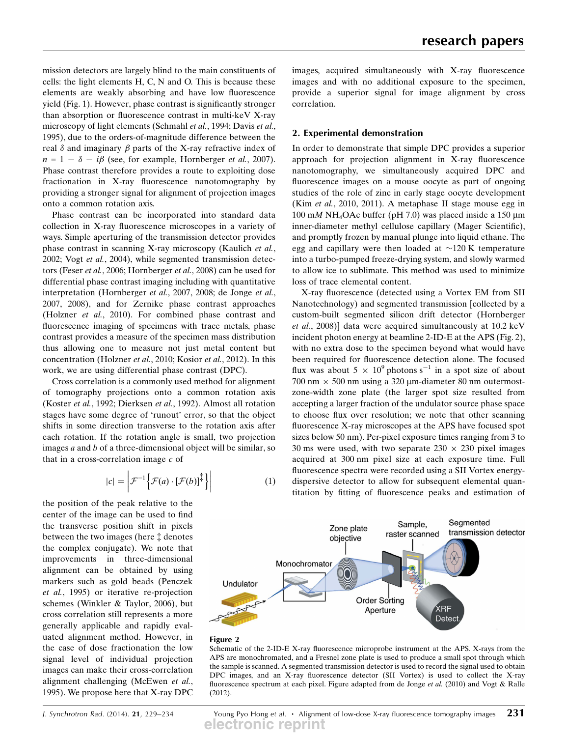mission detectors are largely blind to the main constituents of cells: the light elements H, C, N and O. This is because these elements are weakly absorbing and have low fluorescence yield (Fig. 1). However, phase contrast is significantly stronger than absorption or fluorescence contrast in multi-keV X-ray microscopy of light elements (Schmahl et al., 1994; Davis et al., 1995), due to the orders-of-magnitude difference between the real  $\delta$  and imaginary  $\beta$  parts of the X-ray refractive index of  $n = 1 - \delta - i\beta$  (see, for example, Hornberger *et al.*, 2007). Phase contrast therefore provides a route to exploiting dose fractionation in X-ray fluorescence nanotomography by providing a stronger signal for alignment of projection images onto a common rotation axis.

Phase contrast can be incorporated into standard data collection in X-ray fluorescence microscopes in a variety of ways. Simple aperturing of the transmission detector provides phase contrast in scanning X-ray microscopy (Kaulich et al., 2002; Vogt et al., 2004), while segmented transmission detectors (Feser et al., 2006; Hornberger et al., 2008) can be used for differential phase contrast imaging including with quantitative interpretation (Hornberger et al., 2007, 2008; de Jonge et al., 2007, 2008), and for Zernike phase contrast approaches (Holzner et al., 2010). For combined phase contrast and fluorescence imaging of specimens with trace metals, phase contrast provides a measure of the specimen mass distribution thus allowing one to measure not just metal content but concentration (Holzner et al., 2010; Kosior et al., 2012). In this work, we are using differential phase contrast (DPC).

Cross correlation is a commonly used method for alignment of tomography projections onto a common rotation axis (Koster et al., 1992; Dierksen et al., 1992). Almost all rotation stages have some degree of 'runout' error, so that the object shifts in some direction transverse to the rotation axis after each rotation. If the rotation angle is small, two projection images  $a$  and  $b$  of a three-dimensional object will be similar, so that in a cross-correlation image  $c$  of

$$
|c| = \left| \mathcal{F}^{-1} \left\{ \mathcal{F}(a) \cdot \left[ \mathcal{F}(b) \right]^{\ddagger} \right\} \right| \tag{1}
$$

the position of the peak relative to the center of the image can be used to find the transverse position shift in pixels between the two images (here  $\ddagger$  denotes the complex conjugate). We note that improvements in three-dimensional alignment can be obtained by using markers such as gold beads (Penczek et al., 1995) or iterative re-projection schemes (Winkler & Taylor, 2006), but cross correlation still represents a more generally applicable and rapidly evaluated alignment method. However, in the case of dose fractionation the low signal level of individual projection images can make their cross-correlation alignment challenging (McEwen et al., 1995). We propose here that X-ray DPC

images, acquired simultaneously with X-ray fluorescence images and with no additional exposure to the specimen, provide a superior signal for image alignment by cross correlation.

## 2. Experimental demonstration

In order to demonstrate that simple DPC provides a superior approach for projection alignment in X-ray fluorescence nanotomography, we simultaneously acquired DPC and fluorescence images on a mouse oocyte as part of ongoing studies of the role of zinc in early stage oocyte development (Kim et al., 2010, 2011). A metaphase II stage mouse egg in  $100 \text{ m}$ M NH<sub>4</sub>OAc buffer (pH 7.0) was placed inside a 150  $\mu$ m inner-diameter methyl cellulose capillary (Mager Scientific), and promptly frozen by manual plunge into liquid ethane. The egg and capillary were then loaded at  $\sim$ 120 K temperature into a turbo-pumped freeze-drying system, and slowly warmed to allow ice to sublimate. This method was used to minimize loss of trace elemental content.

X-ray fluorescence (detected using a Vortex EM from SII Nanotechnology) and segmented transmission [collected by a custom-built segmented silicon drift detector (Hornberger et al., 2008)] data were acquired simultaneously at 10.2 keV incident photon energy at beamline 2-ID-E at the APS (Fig. 2), with no extra dose to the specimen beyond what would have been required for fluorescence detection alone. The focused flux was about  $5 \times 10^9$  photons s<sup>-1</sup> in a spot size of about  $700 \text{ nm} \times 500 \text{ nm}$  using a 320  $\mu$ m-diameter 80 nm outermostzone-width zone plate (the larger spot size resulted from accepting a larger fraction of the undulator source phase space to choose flux over resolution; we note that other scanning fluorescence X-ray microscopes at the APS have focused spot sizes below 50 nm). Per-pixel exposure times ranging from 3 to 30 ms were used, with two separate  $230 \times 230$  pixel images acquired at 300 nm pixel size at each exposure time. Full fluorescence spectra were recorded using a SII Vortex energydispersive detector to allow for subsequent elemental quantitation by fitting of fluorescence peaks and estimation of





Schematic of the 2-ID-E X-ray fluorescence microprobe instrument at the APS. X-rays from the APS are monochromated, and a Fresnel zone plate is used to produce a small spot through which the sample is scanned. A segmented transmission detector is used to record the signal used to obtain DPC images, and an X-ray fluorescence detector (SII Vortex) is used to collect the X-ray fluorescence spectrum at each pixel. Figure adapted from de Jonge et al. (2010) and Vogt & Ralle (2012).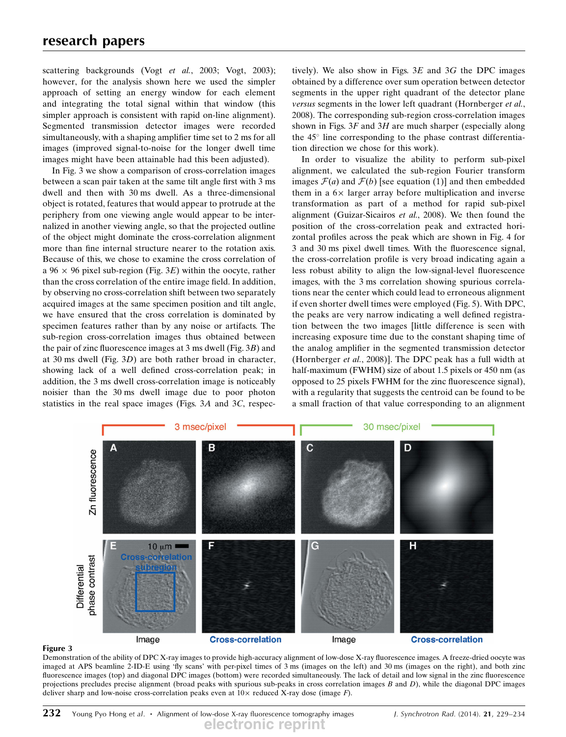scattering backgrounds (Vogt *et al.*, 2003; Vogt, 2003); however, for the analysis shown here we used the simpler approach of setting an energy window for each element and integrating the total signal within that window (this simpler approach is consistent with rapid on-line alignment). Segmented transmission detector images were recorded simultaneously, with a shaping amplifier time set to 2 ms for all images (improved signal-to-noise for the longer dwell time images might have been attainable had this been adjusted).

In Fig. 3 we show a comparison of cross-correlation images between a scan pair taken at the same tilt angle first with 3 ms dwell and then with 30 ms dwell. As a three-dimensional object is rotated, features that would appear to protrude at the periphery from one viewing angle would appear to be internalized in another viewing angle, so that the projected outline of the object might dominate the cross-correlation alignment more than fine internal structure nearer to the rotation axis. Because of this, we chose to examine the cross correlation of  $a 96 \times 96$  pixel sub-region (Fig. 3E) within the oocyte, rather than the cross correlation of the entire image field. In addition, by observing no cross-correlation shift between two separately acquired images at the same specimen position and tilt angle, we have ensured that the cross correlation is dominated by specimen features rather than by any noise or artifacts. The sub-region cross-correlation images thus obtained between the pair of zinc fluorescence images at 3 ms dwell (Fig. 3B) and at 30 ms dwell (Fig. 3D) are both rather broad in character, showing lack of a well defined cross-correlation peak; in addition, the 3 ms dwell cross-correlation image is noticeably noisier than the 30 ms dwell image due to poor photon statistics in the real space images (Figs. 3A and 3C, respectively). We also show in Figs.  $3E$  and  $3G$  the DPC images obtained by a difference over sum operation between detector segments in the upper right quadrant of the detector plane versus segments in the lower left quadrant (Hornberger et al., 2008). The corresponding sub-region cross-correlation images shown in Figs.  $3F$  and  $3H$  are much sharper (especially along the  $45^\circ$  line corresponding to the phase contrast differentiation direction we chose for this work).

In order to visualize the ability to perform sub-pixel alignment, we calculated the sub-region Fourier transform images  $\mathcal{F}(a)$  and  $\mathcal{F}(b)$  [see equation (1)] and then embedded them in a  $6\times$  larger array before multiplication and inverse transformation as part of a method for rapid sub-pixel alignment (Guizar-Sicairos et al., 2008). We then found the position of the cross-correlation peak and extracted horizontal profiles across the peak which are shown in Fig. 4 for 3 and 30 ms pixel dwell times. With the fluorescence signal, the cross-correlation profile is very broad indicating again a less robust ability to align the low-signal-level fluorescence images, with the 3 ms correlation showing spurious correlations near the center which could lead to erroneous alignment if even shorter dwell times were employed (Fig. 5). With DPC, the peaks are very narrow indicating a well defined registration between the two images [little difference is seen with increasing exposure time due to the constant shaping time of the analog amplifier in the segmented transmission detector (Hornberger et al., 2008)]. The DPC peak has a full width at half-maximum (FWHM) size of about 1.5 pixels or 450 nm (as opposed to 25 pixels FWHM for the zinc fluorescence signal), with a regularity that suggests the centroid can be found to be a small fraction of that value corresponding to an alignment





Demonstration of the ability of DPC X-ray images to provide high-accuracy alignment of low-dose X-ray fluorescence images. A freeze-dried oocyte was imaged at APS beamline 2-ID-E using 'fly scans' with per-pixel times of 3 ms (images on the left) and 30 ms (images on the right), and both zinc fluorescence images (top) and diagonal DPC images (bottom) were recorded simultaneously. The lack of detail and low signal in the zinc fluorescence projections precludes precise alignment (broad peaks with spurious sub-peaks in cross correlation images B and D), while the diagonal DPC images deliver sharp and low-noise cross-correlation peaks even at  $10\times$  reduced X-ray dose (image F).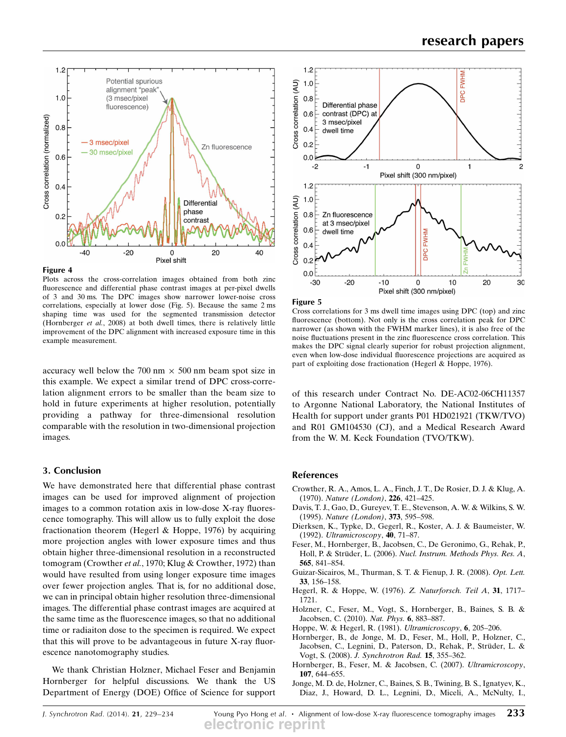

Figure 4

Plots across the cross-correlation images obtained from both zinc fluorescence and differential phase contrast images at per-pixel dwells of 3 and 30 ms. The DPC images show narrower lower-noise cross correlations, especially at lower dose (Fig. 5). Because the same 2 ms shaping time was used for the segmented transmission detector (Hornberger et al., 2008) at both dwell times, there is relatively little improvement of the DPC alignment with increased exposure time in this example measurement.

accuracy well below the  $700 \text{ nm} \times 500 \text{ nm}$  beam spot size in this example. We expect a similar trend of DPC cross-correlation alignment errors to be smaller than the beam size to hold in future experiments at higher resolution, potentially providing a pathway for three-dimensional resolution comparable with the resolution in two-dimensional projection images.

### 3. Conclusion

We have demonstrated here that differential phase contrast images can be used for improved alignment of projection images to a common rotation axis in low-dose X-ray fluorescence tomography. This will allow us to fully exploit the dose fractionation theorem (Hegerl & Hoppe, 1976) by acquiring more projection angles with lower exposure times and thus obtain higher three-dimensional resolution in a reconstructed tomogram (Crowther et al., 1970; Klug & Crowther, 1972) than would have resulted from using longer exposure time images over fewer projection angles. That is, for no additional dose, we can in principal obtain higher resolution three-dimensional images. The differential phase contrast images are acquired at the same time as the fluorescence images, so that no additional time or radiaiton dose to the specimen is required. We expect that this will prove to be advantageous in future X-ray fluorescence nanotomography studies.

We thank Christian Holzner, Michael Feser and Benjamin Hornberger for helpful discussions. We thank the US Department of Energy (DOE) Office of Science for support



Figure 5

Cross correlations for 3 ms dwell time images using DPC (top) and zinc fluorescence (bottom). Not only is the cross correlation peak for DPC narrower (as shown with the FWHM marker lines), it is also free of the noise fluctuations present in the zinc fluorescence cross correlation. This makes the DPC signal clearly superior for robust projection alignment, even when low-dose individual fluorescence projections are acquired as part of exploiting dose fractionation (Hegerl & Hoppe, 1976).

of this research under Contract No. DE-AC02-06CH11357 to Argonne National Laboratory, the National Institutes of Health for support under grants P01 HD021921 (TKW/TVO) and R01 GM104530 (CJ), and a Medical Research Award from the W. M. Keck Foundation (TVO/TKW).

## References

- Crowther, R. A., Amos, L. A., Finch, J. T., De Rosier, D. J. & Klug, A. (1970). Nature (London), 226, 421–425.
- Davis, T. J., Gao, D., Gureyev, T. E., Stevenson, A. W. & Wilkins, S. W. (1995). Nature (London), 373, 595–598.
- Dierksen, K., Typke, D., Gegerl, R., Koster, A. J. & Baumeister, W. (1992). Ultramicroscopy, 40, 71–87.
- Feser, M., Hornberger, B., Jacobsen, C., De Geronimo, G., Rehak, P., Holl, P. & Strüder, L. (2006). Nucl. Instrum. Methods Phys. Res. A, 565, 841–854.
- Guizar-Sicairos, M., Thurman, S. T. & Fienup, J. R. (2008). Opt. Lett. 33, 156–158.
- Hegerl, R. & Hoppe, W. (1976). Z. Naturforsch. Teil A, 31, 1717-1721.
- Holzner, C., Feser, M., Vogt, S., Hornberger, B., Baines, S. B. & Jacobsen, C. (2010). Nat. Phys. 6, 883–887.
- Hoppe, W. & Hegerl, R. (1981). Ultramicroscopy, 6, 205–206.
- Hornberger, B., de Jonge, M. D., Feser, M., Holl, P., Holzner, C., Jacobsen, C., Legnini, D., Paterson, D., Rehak, P., Strüder, L. & Vogt, S. (2008). J. Synchrotron Rad. 15, 355–362.
- Hornberger, B., Feser, M. & Jacobsen, C. (2007). Ultramicroscopy, 107, 644–655.
- Jonge, M. D. de, Holzner, C., Baines, S. B., Twining, B. S., Ignatyev, K., Diaz, J., Howard, D. L., Legnini, D., Miceli, A., McNulty, I.,

J. Synchrotron Rad. (2014). 21, 229–234 Young Pyo Hong et al.  $\cdot$  Alignment of low-dose X-ray fluorescence tomography images 233 **electronic reprint**